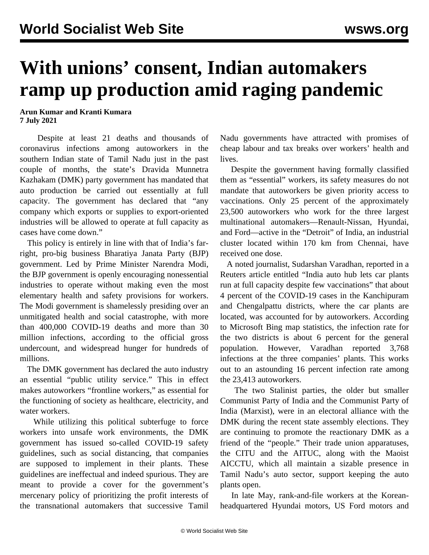## **With unions' consent, Indian automakers ramp up production amid raging pandemic**

**Arun Kumar and Kranti Kumara 7 July 2021**

 Despite at least 21 deaths and thousands of coronavirus infections among autoworkers in the southern Indian state of Tamil Nadu just in the past couple of months, the state's Dravida Munnetra Kazhakam (DMK) party government has mandated that auto production be carried out essentially at full capacity. The government has declared that "any company which exports or supplies to export-oriented industries will be allowed to operate at full capacity as cases have come down."

 This policy is entirely in line with that of India's farright, pro-big business Bharatiya Janata Party (BJP) government. Led by Prime Minister Narendra Modi, the BJP government is openly encouraging nonessential industries to operate without making even the most elementary health and safety provisions for workers. The Modi government is shamelessly presiding over an unmitigated health and social catastrophe, with more than 400,000 COVID-19 deaths and more than 30 million infections, according to the official gross undercount, and widespread hunger for hundreds of millions.

 The DMK government has declared the auto industry an essential "public utility service." This in effect makes autoworkers "frontline workers," as essential for the functioning of society as healthcare, electricity, and water workers.

 While utilizing this political subterfuge to force workers into unsafe work environments, the DMK government has issued so-called COVID-19 safety guidelines, such as social distancing, that companies are supposed to implement in their plants. These guidelines are ineffectual and indeed spurious. They are meant to provide a cover for the government's mercenary policy of prioritizing the profit interests of the transnational automakers that successive Tamil

Nadu governments have attracted with promises of cheap labour and tax breaks over workers' health and lives.

 Despite the government having formally classified them as "essential" workers, its safety measures do not mandate that autoworkers be given priority access to vaccinations. Only 25 percent of the approximately 23,500 autoworkers who work for the three largest multinational automakers—Renault-Nissan, Hyundai, and Ford—active in the "Detroit" of India, an industrial cluster located within 170 km from Chennai, have received one dose.

 A noted journalist, Sudarshan Varadhan, reported in a Reuters article entitled "India auto hub lets car plants run at full capacity despite few vaccinations" that about 4 percent of the COVID-19 cases in the Kanchipuram and Chengalpattu districts, where the car plants are located, was accounted for by autoworkers. According to Microsoft Bing map statistics, the infection rate for the two districts is about 6 percent for the general population. However, Varadhan reported 3,768 infections at the three companies' plants. This works out to an astounding 16 percent infection rate among the 23,413 autoworkers.

 The two Stalinist parties, the older but smaller Communist Party of India and the Communist Party of India (Marxist), were in an electoral alliance with the DMK during the recent state assembly elections. They are continuing to promote the reactionary DMK as a friend of the "people." Their trade union apparatuses, the CITU and the AITUC, along with the Maoist AICCTU, which all maintain a sizable presence in Tamil Nadu's auto sector, support keeping the auto plants open.

 In late May, rank-and-file workers at the Koreanheadquartered Hyundai motors, US Ford motors and